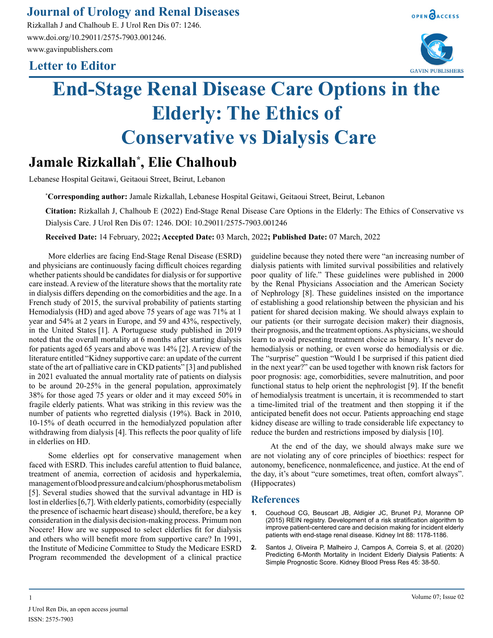## **Journal of Urology and Renal Diseases**

Rizkallah J and Chalhoub E. J Urol Ren Dis 07: 1246. www.doi.org/10.29011/2575-7903.001246. www.gavinpublishers.com

## **Letter to Editor**





# **End-Stage Renal Disease Care Options in the Elderly: The Ethics of Conservative vs Dialysis Care**

# **Jamale Rizkallah\* , Elie Chalhoub**

Lebanese Hospital Geitawi, Geitaoui Street, Beirut, Lebanon

**\* Corresponding author:** Jamale Rizkallah, Lebanese Hospital Geitawi, Geitaoui Street, Beirut, Lebanon

**Citation:** Rizkallah J, Chalhoub E (2022) End-Stage Renal Disease Care Options in the Elderly: The Ethics of Conservative vs Dialysis Care. J Urol Ren Dis 07: 1246. DOI: 10.29011/2575-7903.001246

**Received Date:** 14 February, 2022**; Accepted Date:** 03 March, 2022**; Published Date:** 07 March, 2022

More elderlies are facing End-Stage Renal Disease (ESRD) and physicians are continuously facing difficult choices regarding whether patients should be candidates for dialysis or for supportive care instead. A review of the literature shows that the mortality rate in dialysis differs depending on the comorbidities and the age. In a French study of 2015, the survival probability of patients starting Hemodialysis (HD) and aged above 75 years of age was 71% at 1 year and 54% at 2 years in Europe, and 59 and 43%, respectively, in the United States [1]. A Portuguese study published in 2019 noted that the overall mortality at 6 months after starting dialysis for patients aged 65 years and above was 14% [2]. A review of the literature entitled "Kidney supportive care: an update of the current state of the art of palliative care in CKD patients" [3] and published in 2021 evaluated the annual mortality rate of patients on dialysis to be around 20-25% in the general population, approximately 38% for those aged 75 years or older and it may exceed 50% in fragile elderly patients. What was striking in this review was the number of patients who regretted dialysis (19%). Back in 2010, 10-15% of death occurred in the hemodialyzed population after withdrawing from dialysis [4]. This reflects the poor quality of life in elderlies on HD.

Some elderlies opt for conservative management when faced with ESRD. This includes careful attention to fluid balance, treatment of anemia, correction of acidosis and hyperkalemia, management of blood pressure and calcium/phosphorus metabolism [5]. Several studies showed that the survival advantage in HD is lost in elderlies [6,7]. With elderly patients, comorbidity (especially the presence of ischaemic heart disease) should, therefore, be a key consideration in the dialysis decision-making process. Primum non Nocere! How are we supposed to select elderlies fit for dialysis and others who will benefit more from supportive care? In 1991, the Institute of Medicine Committee to Study the Medicare ESRD Program recommended the development of a clinical practice

guideline because they noted there were "an increasing number of dialysis patients with limited survival possibilities and relatively poor quality of life." These guidelines were published in 2000 by the Renal Physicians Association and the American Society of Nephrology [8]. These guidelines insisted on the importance of establishing a good relationship between the physician and his patient for shared decision making. We should always explain to our patients (or their surrogate decision maker) their diagnosis, their prognosis, and the treatment options. As physicians, we should learn to avoid presenting treatment choice as binary. It's never do hemodialysis or nothing, or even worse do hemodialysis or die. The "surprise" question "Would I be surprised if this patient died in the next year?" can be used together with known risk factors for poor prognosis: age, comorbidities, severe malnutrition, and poor functional status to help orient the nephrologist [9]. If the benefit of hemodialysis treatment is uncertain, it is recommended to start a time-limited trial of the treatment and then stopping it if the anticipated benefit does not occur. Patients approaching end stage kidney disease are willing to trade considerable life expectancy to reduce the burden and restrictions imposed by dialysis [10].

At the end of the day, we should always make sure we are not violating any of core principles of bioethics: respect for autonomy, beneficence, nonmaleficence, and justice. At the end of the day, it's about "cure sometimes, treat often, comfort always". (Hippocrates)

#### **References**

- **1.** [Couchoud CG, Beuscart JB, Aldigier JC, Brunet PJ, Moranne OP](https://pubmed.ncbi.nlm.nih.gov/26331408/)  [\(2015\) REIN registry. Development of a risk stratification algorithm to](https://pubmed.ncbi.nlm.nih.gov/26331408/)  [improve patient-centered care and decision making for incident elderly](https://pubmed.ncbi.nlm.nih.gov/26331408/)  [patients with end-stage renal disease. Kidney Int 88: 1178-1186.](https://pubmed.ncbi.nlm.nih.gov/26331408/)
- **2.** [Santos J, Oliveira P, Malheiro J, Campos A, Correia S, et al. \(2020\)](https://pubmed.ncbi.nlm.nih.gov/31825925/)  [Predicting 6-Month Mortality in Incident Elderly Dialysis Patients: A](https://pubmed.ncbi.nlm.nih.gov/31825925/) [Simple Prognostic Score. Kidney Blood Press Res 45: 38-50.](https://pubmed.ncbi.nlm.nih.gov/31825925/)